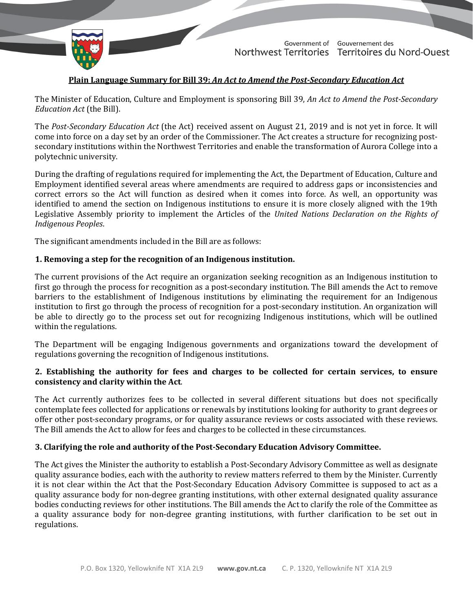

TD 487-19(2) TABLED ON NOVEMBER 25, 2021

Government of Gouvernement des Northwest Territories Territoires du Nord-Ouest

# **Plain Language Summary for Bill 39:** *An Act to Amend the Post-Secondary Education Act*

The Minister of Education, Culture and Employment is sponsoring Bill 39, *An Act to Amend the Post-Secondary Education Act* (the Bill).

The *Post-Secondary Education Act* (the Act) received assent on August 21, 2019 and is not yet in force. It will come into force on a day set by an order of the Commissioner. The Act creates a structure for recognizing postsecondary institutions within the Northwest Territories and enable the transformation of Aurora College into a polytechnic university.

During the drafting of regulations required for implementing the Act, the Department of Education, Culture and Employment identified several areas where amendments are required to address gaps or inconsistencies and correct errors so the Act will function as desired when it comes into force. As well, an opportunity was identified to amend the section on Indigenous institutions to ensure it is more closely aligned with the 19th Legislative Assembly priority to implement the Articles of the *United Nations Declaration on the Rights of Indigenous Peoples*.

The significant amendments included in the Bill are as follows:

#### **1. Removing a step for the recognition of an Indigenous institution.**

The current provisions of the Act require an organization seeking recognition as an Indigenous institution to first go through the process for recognition as a post-secondary institution. The Bill amends the Act to remove barriers to the establishment of Indigenous institutions by eliminating the requirement for an Indigenous institution to first go through the process of recognition for a post-secondary institution. An organization will be able to directly go to the process set out for recognizing Indigenous institutions, which will be outlined within the regulations.

The Department will be engaging Indigenous governments and organizations toward the development of regulations governing the recognition of Indigenous institutions.

### **2. Establishing the authority for fees and charges to be collected for certain services, to ensure consistency and clarity within the Act**.

The Act currently authorizes fees to be collected in several different situations but does not specifically contemplate fees collected for applications or renewals by institutions looking for authority to grant degrees or offer other post-secondary programs, or for quality assurance reviews or costs associated with these reviews. The Bill amends the Act to allow for fees and charges to be collected in these circumstances.

### **3. Clarifying the role and authority of the Post-Secondary Education Advisory Committee.**

The Act gives the Minister the authority to establish a Post-Secondary Advisory Committee as well as designate quality assurance bodies, each with the authority to review matters referred to them by the Minister. Currently it is not clear within the Act that the Post-Secondary Education Advisory Committee is supposed to act as a quality assurance body for non-degree granting institutions, with other external designated quality assurance bodies conducting reviews for other institutions. The Bill amends the Act to clarify the role of the Committee as a quality assurance body for non-degree granting institutions, with further clarification to be set out in regulations.